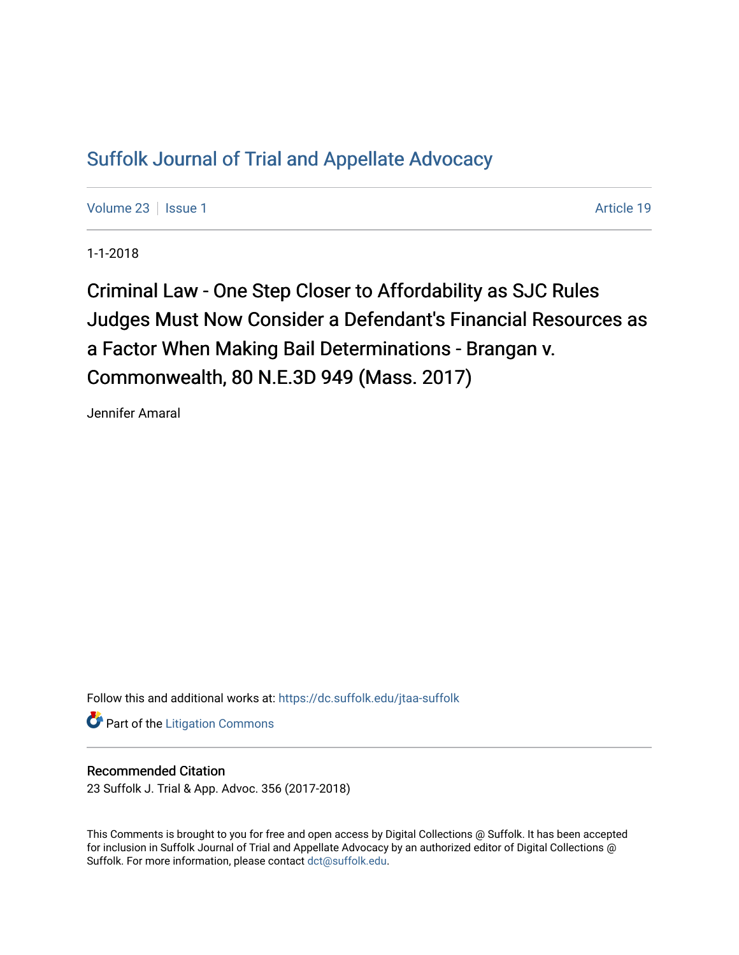## [Suffolk Journal of Trial and Appellate Advocacy](https://dc.suffolk.edu/jtaa-suffolk)

[Volume 23](https://dc.suffolk.edu/jtaa-suffolk/vol23) | [Issue 1](https://dc.suffolk.edu/jtaa-suffolk/vol23/iss1) Article 19

1-1-2018

Criminal Law - One Step Closer to Affordability as SJC Rules Judges Must Now Consider a Defendant's Financial Resources as a Factor When Making Bail Determinations - Brangan v. Commonwealth, 80 N.E.3D 949 (Mass. 2017)

Jennifer Amaral

Follow this and additional works at: [https://dc.suffolk.edu/jtaa-suffolk](https://dc.suffolk.edu/jtaa-suffolk?utm_source=dc.suffolk.edu%2Fjtaa-suffolk%2Fvol23%2Fiss1%2F19&utm_medium=PDF&utm_campaign=PDFCoverPages) 

**Part of the [Litigation Commons](http://network.bepress.com/hgg/discipline/910?utm_source=dc.suffolk.edu%2Fjtaa-suffolk%2Fvol23%2Fiss1%2F19&utm_medium=PDF&utm_campaign=PDFCoverPages)** 

## Recommended Citation

23 Suffolk J. Trial & App. Advoc. 356 (2017-2018)

This Comments is brought to you for free and open access by Digital Collections @ Suffolk. It has been accepted for inclusion in Suffolk Journal of Trial and Appellate Advocacy by an authorized editor of Digital Collections @ Suffolk. For more information, please contact [dct@suffolk.edu.](mailto:dct@suffolk.edu)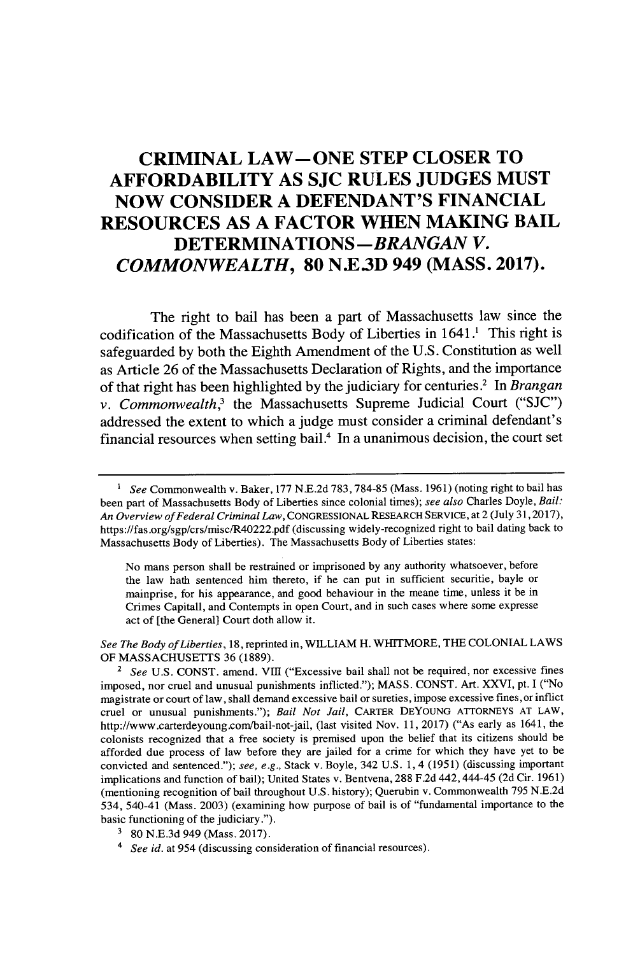## **CRIMINAL LAW-ONE STEP CLOSER TO AFFORDABILITY AS SJC RULES JUDGES MUST NOW CONSIDER A DEFENDANT'S FINANCIAL RESOURCES AS A FACTOR WHEN MAKING BAIL DETERMINATIONS** *-BRANGAN V. COMMONWEALTH,* **80 N.E3D 949 (MASS. 2017).**

The right to bail has been a part of Massachusetts law since the codification of the Massachusetts Body of Liberties in 1641.<sup>1</sup> This right is safeguarded **by** both the Eighth Amendment of the **U.S.** Constitution as well as Article **26** of the Massachusetts Declaration of Rights, and the importance of that right has been highlighted **by** the judiciary for centuries.2 In *Brangan v. Commonwealth,<sup>3</sup>*the Massachusetts Supreme Judicial Court ("SJC") addressed the extent to which a judge must consider a criminal defendant's financial resources when setting bail.<sup>4</sup> In a unanimous decision, the court set

No mans person shall be restrained or imprisoned **by** any authority whatsoever, before the law hath sentenced him thereto, if he can put in sufficient securitie, bayle or mainprise, for his appearance, and good behaviour in the meane time, unless it be in Crimes Capitall, and Contempts in open Court, and in such cases where some expresse act of [the General] Court doth allow it.

*See The Body ofLiberties,* **18,** reprinted in, WILLIAM H. WHITMORE, **THE COLONIAL** LAWS OF **MASSACHUSETTS 36 (1889).**

<sup>2</sup> See U.S. CONST. amend. VIII ("Excessive bail shall not be required, nor excessive fines imposed, nor cruel and unusual punishments inflicted."); **MASS. CONST.** Art. XXVI, pt. **I** ("No magistrate or court of law, shall demand excessive bail or sureties, impose excessive fines,or inflict cruel or unusual punishments."); *Bail Not Jail,* CARTER **DEYOUNG** ATIORNEYS **AT** LAW, http://www.carterdeyoung.com/bail-not-jail, (last visited Nov. **11, 2017)** ("As early as 1641, the colonists recognized that a free society is premised upon the belief that its citizens should be afforded due process of law before they are jailed for a crime for which they have yet to be convicted and sentenced."); *see, e.g.,* Stack v. Boyle, 342 **U.S. 1,** 4 **(1951)** (discussing important implications and function of bail); United States v. Bentvena, **288 F.2d** 442,444-45 **(2d** Cir. **1961)** (mentioning recognition of bail throughout **U.S.** history); Querubin v. Commonwealth **795 N.E.2d** 534, 540-41 (Mass. **2003)** (examining how purpose of bail is of "fundamental importance to the basic functioning of the judiciary.").

*See* Commonwealth v. Baker, **177 N.E.2d 783,784-85** (Mass. **1961)** (noting right to bail has been part of Massachusetts Body of Liberties since colonial times); *see also* Charles Doyle, *Bail: An Overview of Federal Criminal Law,* **CONGRESSIONAL** RESEARCH SERVICE, at 2 (July **31,2017),** https://fas.org/sgp/crs/misc/R40222.pdf (discussing widely-recognized right to bail dating back to Massachusetts Body of Liberties). The Massachusetts Body of Liberties states:

**<sup>3 80</sup> N.E.3d** 949 (Mass. **2017).**

*<sup>4</sup> See id.* at 954 (discussing consideration of financial resources).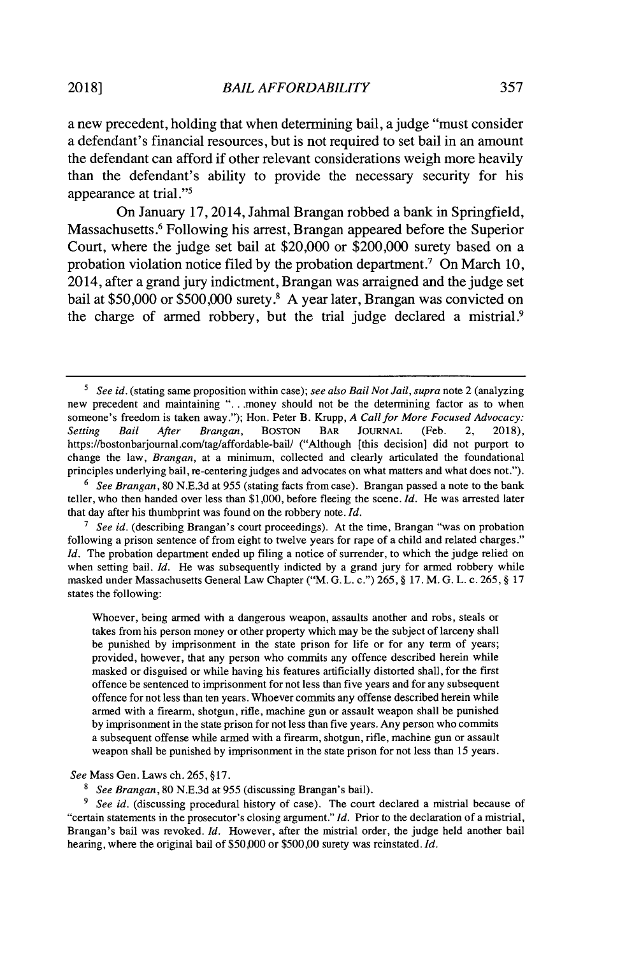a new precedent, holding that when determining bail, a judge "must consider a defendant's financial resources, but is not required to set bail in an amount the defendant can afford if other relevant considerations weigh more heavily than the defendant's ability to provide the necessary security for his appearance at trial."'

On January **17,** 2014, Jahmal Brangan robbed a bank in Springfield, Massachusetts.<sup>6</sup> Following his arrest, Brangan appeared before the Superior Court, where the judge set bail at \$20,000 or \$200,000 surety based on a probation violation notice filed by the probation department.<sup>7</sup> On March 10, 2014, after a grand jury indictment, Brangan was arraigned and the judge set bail at **\$50,000** or **\$500,000** surety.8 **A** year later, Brangan was convicted on the charge of armed robbery, but the trial judge declared a mistrial.<sup>9</sup>

Whoever, being armed with a dangerous weapon, assaults another and robs, steals or takes from his person money or other property which may be the subject of larceny shall be punished **by** imprisonment in the state prison for life or for any term of years; provided, however, that any person who commits any offence described herein while masked or disguised or while having his features artificially distorted shall, for the first offence be sentenced to imprisonment for not less than five years and for any subsequent offence for not less than ten years. Whoever commits any offense described herein while armed with a firearm, shotgun, rifle, machine gun or assault weapon shall be punished **by** imprisonment in the state prison for not less than five years. Any person who commits a subsequent offense while armed with a firearm, shotgun, rifle, machine gun or assault weapon shall be punished **by** imprisonment in the state prison for not less than **15** years.

*See* Mass Gen. Laws ch. **265, §17.**

*See Brangan,* **80 N.E.3d** at **955** (discussing Brangan's bail).

<sup>9</sup> See id. (discussing procedural history of case). The court declared a mistrial because of "certain statements in the prosecutor's closing argument." *Id.* Prior to the declaration of a mistrial, Brangan's bail was revoked. *Id.* However, after the mistrial order, the judge held another bail hearing, where the original bail of **\$50,000** or **\$500,00** surety was reinstated. *Id.*

*See id.* (stating same proposition within case); *see also Bail Not Jail, supra* note 2 (analyzing new precedent and maintaining **". .** money should not be the determining factor as to when someone's freedom is taken away."); Hon. Peter B. Krupp, *A Call for More Focused Advocacy:*<br>Setting Bail After Brangan, BOSTON BAR JOURNAL (Feb. 2, 2018), *Setting Bail After Brangan,* **BOSTON** BAR **JOURNAL** (Feb. 2, **2018),** https://bostonbarjournal.com/tag/affordable-bail/ ("Although [this decision] did not purport to change the law, *Brangan,* at a minimum, collected and clearly articulated the foundational principles underlying bail, re-centering judges and advocates on what matters and what does not.").

**<sup>6</sup>** *See Brangan,* **80 N.E.3d** at **955** (stating facts from case). Brangan passed a note to the bank teller, who then handed over less than **\$1,000,** before fleeing the scene. *Id.* He was arrested later that day after his thumbprint was found on the robbery note. *Id.*

*<sup>7</sup>See id.* (describing Brangan's court proceedings). At the time, Brangan "was on probation following a prison sentence of from eight to twelve years for rape of a child and related charges." *Id.* The probation department ended up filing a notice of surrender, to which the judge relied on when setting bail. *Id.* He was subsequently indicted by a grand jury for armed robbery while masked under Massachusetts General Law Chapter ("M. **G.** L. c.") **265, § 17.** M. **G.** L. c. **265, § 17** states the following: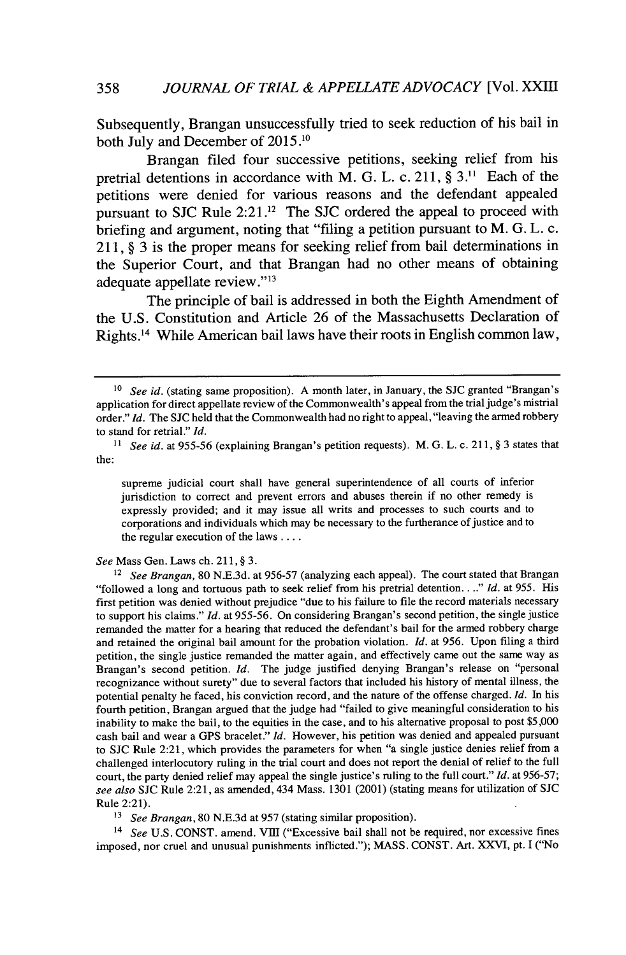Subsequently, Brangan unsuccessfully tried to seek reduction of his bail in both July and December of **2015.10**

Brangan filed four successive petitions, seeking relief from his pretrial detentions in accordance with M. **G.** L. c. **211, § 3.11** Each of the petitions were denied for various reasons and the defendant appealed pursuant to **SJC** Rule 2:21 .12 The **SJC** ordered the appeal to proceed with briefing and argument, noting that "filing a petition pursuant to M. **G.** L. c. **211, § 3** is the proper means for seeking relief from bail determinations in the Superior Court, and that Brangan had no other means of obtaining adequate appellate review."<sup>13</sup>

The principle of bail is addressed in both the Eighth Amendment of the **U.S.** Constitution and Article **26** of the Massachusetts Declaration of Rights.1<sup>4</sup>While American bail laws have their roots in English common law,

supreme judicial court shall have general superintendence of all courts of inferior jurisdiction to correct and prevent errors and abuses therein if no other remedy is expressly provided; and it may issue all writs and processes to such courts and to corporations and individuals which may be necessary to the furtherance of justice and to the regular execution of the laws **....**

*See* Mass Gen. Laws ch. **211, § 3.**

*<sup>13</sup>See Brangan,* **80 N.E.3d** at **957** (stating similar proposition).

<sup>14</sup>*See* **U.S. CONST.** amend. VIII ("Excessive bail shall not be required, nor excessive fines imposed, nor cruel and unusual punishments inflicted."); **MASS. CONST.** Art. XXVI, pt. **I** ("No

**<sup>10</sup>***See id.* (stating same proposition). **A** month later, in January, the **SJC** granted "Brangan's application for direct appellate review of the Commonwealth's appeal from the trial judge's mistrial order." *Id.* The **SJC** held that the Commonwealth had no right to appeal, "leaving the armed robbery to stand for retrial." *Id.*

**<sup>&</sup>quot;** *See id.* at **955-56** (explaining Brangan's petition requests). M. **G.** L. c. **211,** *§* **3** states that the:

<sup>12</sup>*See Brangan,* **80 N.E.3d.** at **956-57** (analyzing each appeal). The court stated that Brangan "followed a long and tortuous path to seek relief from his pretrial detention. **.** *.." Id.* at **955.** His first petition was denied without prejudice "due to his failure to file the record materials necessary to support his claims." *Id.* at **955-56.** On considering Brangan's second petition, the single justice remanded the matter for a hearing that reduced the defendant's bail for the armed robbery charge and retained the original bail amount for the probation violation. *Id.* at **956.** Upon filing a third petition, the single justice remanded the matter again, and effectively came out the same way as Brangan's second petition. *Id.* The judge justified denying Brangan's release on "personal recognizance without surety" due to several factors that included his history of mental illness, the potential penalty he faced, his conviction record, and the nature of the offense charged. *Id.* In his fourth petition, Brangan argued that the judge had "failed to give meaningful consideration to his inability to make the bail, to the equities in the case, and to his alternative proposal to post **\$5,000** cash bail and wear a **GPS** bracelet." *Id.* However, his petition was denied and appealed pursuant to **SJC** Rule 2:21, which provides the parameters for when "a single justice denies relief from a challenged interlocutory ruling in the trial court and does not report the denial of relief to the full court, the party denied relief may appeal the single justice's ruling to the full court." *Id.* at **956-57;** *see also* **SJC** Rule 2:21, as amended, 434 Mass. **1301** (2001) (stating means for utilization of **SJC** Rule 2:21).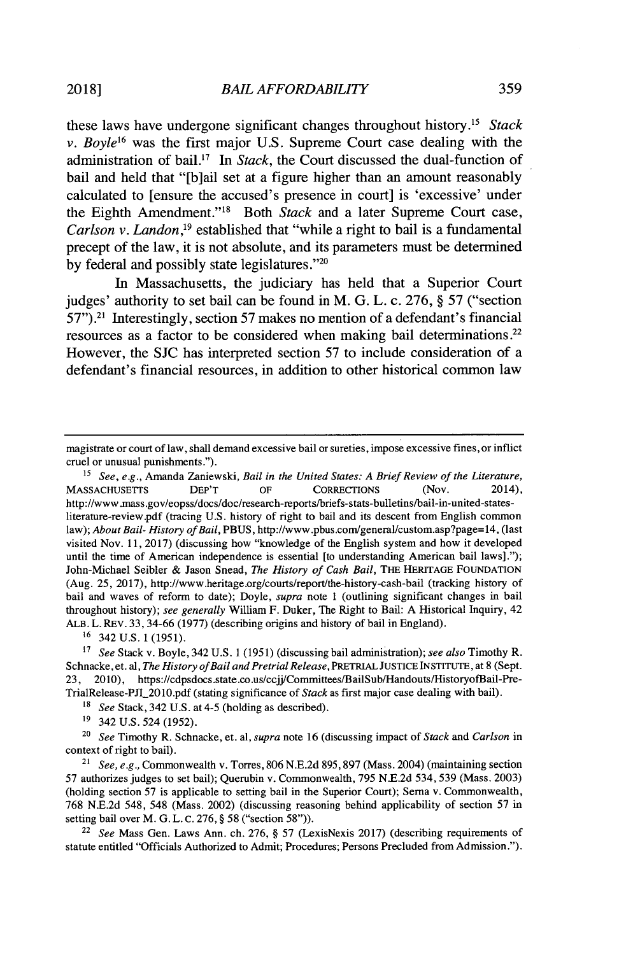these laws have undergone significant changes throughout history." *Stack v. Boyle<sup>16</sup>*was the first major **U.S.** Supreme Court case dealing with the administration of bail." In *Stack,* the Court discussed the dual-function of bail and held that "[b]ail set at a figure higher than an amount reasonably calculated to [ensure the accused's presence in court] is 'excessive' under the Eighth Amendment."" Both *Stack* and a later Supreme Court case, *Carlson v. Landon*<sup>19</sup> established that "while a right to bail is a fundamental precept of the law, it is not absolute, and its parameters must be determined **by** federal and possibly state legislatures."20

In Massachusetts, the judiciary has held that a Superior Court judges' authority to set bail can be found in M. **G.** L. c. **276, §** *57* ("section **57").21** Interestingly, section **57** makes no mention of a defendant's financial resources as a factor to be considered when making bail determinations.<sup>22</sup> However, the **SJC** has interpreted section *57* to include consideration of a defendant's financial resources, in addition to other historical common law

**<sup>16</sup>**342 **U.S. 1 (1951).**

*<sup>7</sup>See* Stack v. Boyle, 342 **U.S. 1 (1951)** (discussing bail administration); *see also* Timothy R. Schnacke, et. al, *The History of Bail and Pretrial Release,* PRETRIAL JUSTICE INSTITUTE, at **8** (Sept. 23, 2010), https://cdpsdocs.state.co.us/ccjj/Committees/BailSub/Handouts/HistoryofBail-Pre-TrialRelease-PJI\_20 **1O.pdf** (stating significance of *Stack* as first major case dealing with bail).

*<sup>18</sup>See* Stack, 342 **U.S.** at 4-5 (holding as described).

'9 342 **U.S.** 524 **(1952).**

<sup>20</sup>*See* Timothy R. Schnacke, et. al, *supra* note **16** (discussing impact of *Stack and Carlson in* context of right to bail).

<sup>21</sup>*See, e.g.,* Commonwealth v. Torres, **806 N.E.2d 895,897** (Mass. 2004) (maintaining section **57** authorizes judges to set bail); Querubin v. Commonwealth, **795 N.E.2d** 534, **539** (Mass. **2003)** (holding section **57** is applicable to setting bail in the Superior Court); Sema v. Commonwealth, **768 NE.2d** 548, 548 (Mass. 2002) (discussing reasoning behind applicability of section **57** in setting bail over M. **G.** L. **C. 276,** *§* **58** ("section **58")).**

<sup>22</sup>*See* Mass Gen. Laws Ann. ch. **276,** *§* **57** (LexisNexis **2017)** (describing requirements of statute entitled "Officials Authorized to Admit; Procedures; Persons Precluded from Admission.").

magistrate or court of law, shall demand excessive bail or sureties, impose excessive fines, or inflict cruel or unusual punishments.").

<sup>&</sup>lt;sup>15</sup> See, e.g., Amanda Zaniewski, *Bail in the United States: A Brief Review of the Literature,*<br>SSACHUSETTS DEP'T OF CORRECTIONS (Nov. 2014). **MASSACHUSETTS** http://www.mass.gov/eopss/docs/doc/research-reports/briefs-stats-bulletins/bail-in-united-statesliterature-review.pdf (tracing **U.S.** history of right to bail and its descent from English common law); *About Bail- History of Bail,* **PBUS,** http://www.pbus.com/general/custom.asp?page= 14, (last visited Nov. **11, 2017)** (discussing how "knowledge of the English system and how it developed until the time of American independence is essential [to understanding American bail laws]."); John-Michael Seibler **&** Jason Snead, *The History of Cash Bail,* THE HERITAGE **FOUNDATION** (Aug. **25, 2017),** http://www.heritage.org/courts/report/the-history-cash-bail (tracking history of bail and waves of reform to date); Doyle, *supra* note 1 (outlining significant changes in bail throughout history); *see generally* William F. Duker, The Right to Bail: **A** Historical Inquiry, 42 ALB. L. REv. **33, 34-66 (1977)** (describing origins and history of bail in England).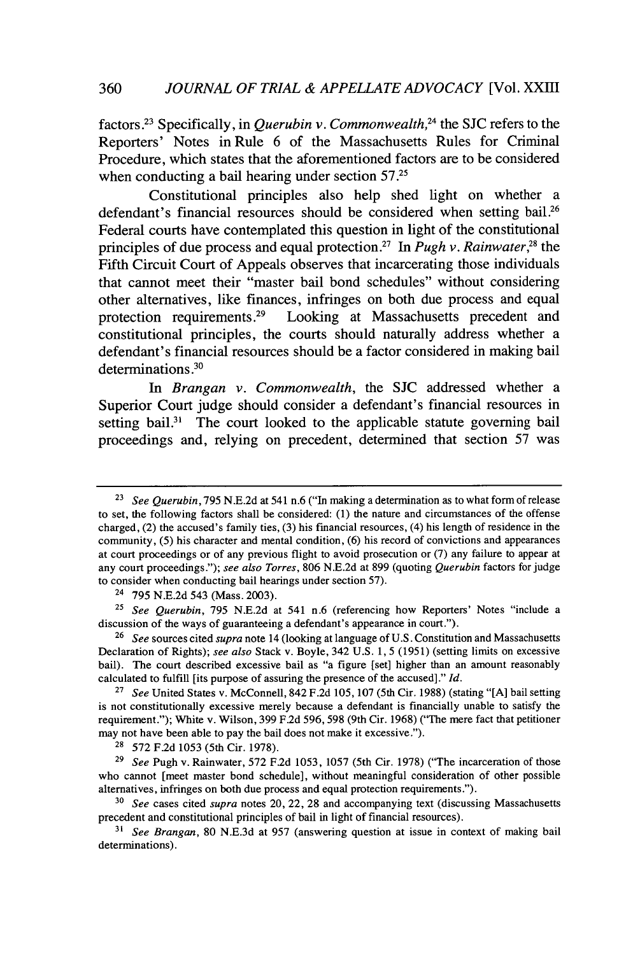factors .23 Specifically, in *Querubin v. Commonwealth,<sup>24</sup>*the **SJC** refers to the Reporters' Notes in Rule **6** of the Massachusetts Rules for Criminal Procedure, which states that the aforementioned factors are to be considered when conducting a bail hearing under section *57.25*

Constitutional principles also help shed light on whether a defendant's financial resources should be considered when setting bail.<sup>26</sup> Federal courts have contemplated this question in light of the constitutional principles of due process and equal protection.<sup>27</sup> In *Pugh v. Rainwater*,<sup>28</sup> the Fifth Circuit Court of Appeals observes that incarcerating those individuals that cannot meet their "master bail bond schedules" without considering other alternatives, like finances, infringes on both due process and equal protection requirements **.29** Looking at Massachusetts precedent and constitutional principles, the courts should naturally address whether a defendant's financial resources should be a factor considered in making bail determinations **.30**

*In Brangan v. Commonwealth,* the **SJC** addressed whether a Superior Court judge should consider a defendant's financial resources in setting bail.<sup>31</sup> The court looked to the applicable statute governing bail proceedings and, relying on precedent, determined that section **57** was

**<sup>23</sup>***See Querubin,* **795 N.E.2d** at 541 n.6 ("In making a determination as to what form of release to set, the following factors shall be considered: **(1)** the nature and circumstances of the offense charged, (2) the accused's family ties, **(3)** his financial resources, *(4)* his length of residence in the community, **(5)** his character and mental condition, **(6)** his record of convictions and appearances at court proceedings or of any previous flight to avoid prosecution or **(7)** any failure to appear at any court proceedings."); *see also Torres,* **806 N.E.2d** at **899** (quoting *Querubin* factors for judge to consider when conducting bail hearings under section **57).**

<sup>24</sup>*795* **N.E.2d** 543 (Mass. **2003).**

**<sup>25</sup>***See Querubin,* **795 N.E.2d** at *541* n.6 (referencing how Reporters' Notes "include a discussion of the ways of guaranteeing a defendant's appearance in court.").

**<sup>26</sup>***See* sources cited *supra* note 14 (looking at language of **U.S.** Constitution and Massachusetts Declaration of Rights); *see also* Stack v. Boyle, 342 **U.S. 1, 5 (1951)** (setting limits on excessive bail). The court described excessive bail as "a figure [set] higher than an amount reasonably calculated to fulfill [its purpose of assuring the presence of the accused]." *Id.*

**<sup>27</sup>***See* United States v. McConnell, 842 **F.2d 105, 107** (5th Cir. **1988)** (stating **"[A]** bail setting is not constitutionally excessive merely because a defendant is financially unable to satisfy the requirement."); White v. Wilson, **399 F2d 596, 598** (9th Cir. **1968)** ("The mere fact that petitioner may not have been able to pay the bail does not make it excessive.").

**<sup>28</sup>572 F.2d 1053** (5th Cir. **1978).**

**<sup>29</sup>***See* Pugh v. Rainwater, **572 F.2d 1053, 1057** (5th Cir. **1978)** ("The incarceration of those who cannot [meet master bond schedule], without meaningful consideration of other possible alternatives, infringes on both due process and equal protection requirements.").

**<sup>30</sup>***See* cases cited *supra* notes 20, 22, **28** and accompanying text (discussing Massachusetts precedent and constitutional principles of bail in light of financial resources).

**<sup>31</sup>***See Brangan,* **80 N.E.3d** at **957** (answering question at issue in context of making bail determinations).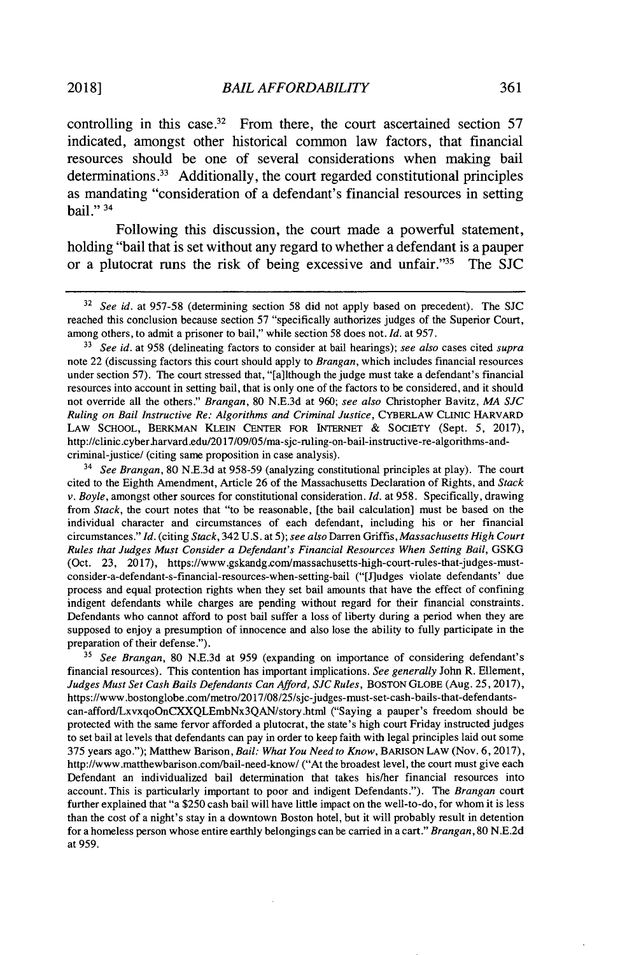controlling in this case.<sup>32</sup> From there, the court ascertained section  $57$ indicated, amongst other historical common law factors, that financial resources should be one of several considerations when making bail determinations.<sup>33</sup> Additionally, the court regarded constitutional principles as mandating "consideration of a defendant's financial resources in setting bail." <sup>34</sup>

Following this discussion, the court made a powerful statement, holding "bail that is set without any regard to whether a defendant is a pauper or a plutocrat runs the risk of being excessive and unfair."<sup>35</sup> The SJC

<sup>34</sup>*See Brangan,* **80 N.E.3d** at **958-59** (analyzing constitutional principles at play). The court cited to the Eighth Amendment, Article **26** of the Massachusetts Declaration of Rights, and *Stack v. Boyle,* amongst other sources for constitutional consideration. *Id.* at **958.** Specifically, drawing from *Stack,* the court notes that "to be reasonable, [the bail calculation] must be based on the individual character and circumstances of each defendant, including his or her financial circumstances." *Id. (citing Stack,* 342 **U.S.** at **5);** *see also* Darren Griffis, *Massachusetts High Court Rules that Judges Must Consider a Defendant's Financial Resources When Setting Bail,* **GSKG** (Oct. **23, 2017),** https://www.gskandg.com/massachusetts-high-court-rules-that-judges-mustconsider-a-defendant-s-financial-resources-when-setting-bal ("[J]udges violate defendants' due process and equal protection rights when they set bail amounts that have the effect of confining indigent defendants while charges are pending without regard for their financial constraints. Defendants who cannot afford to post bail suffer a loss of liberty during a period when they are supposed to enjoy a presumption of innocence and also lose the ability to fully participate in the preparation of their defense.").

*<sup>35</sup>See Brangan,* **80 N.E.3d** at **959** (expanding on importance of considering defendant's financial resources). This contention has important implications. *See generally* John R. Ellement, *Judges Must Set Cash Bails Defendants Can Afford, SJC Rules,* **BOSTON GLOBE** (Aug. **25, 2017),** https://www.bostonglobe.com/metro/2017/08/25/sjc-judges-must-set-cash-bails-that-defendantscan-afford/LxvxqoOnCXXQLEmbNx3QAN/story.html ("Saying a pauper's freedom should be protected with the same fervor afforded a plutocrat, the state's high court Friday instructed judges to set bail at levels that defendants can pay in order to keep faith with legal principles laid out some **375** years ago."); Matthew Barison, *Bail: What You Need to Know,* BARISON LAw (Nov. **6, 2017),** http://www.matthewbarison.com/bail-need-know/ ("At the broadest level, the court must give each Defendant an individualized bail determination that takes his/her financial resources into account. This is particularly important to poor and indigent Defendants."). The *Brangan* court further explained that "a **\$250** cash bail will have little impact on the well-to-do, for whom it is less than the cost of a night's stay in a downtown Boston hotel, but it will probably result in detention for a homeless person whose entire earthly belongings can be carried in a cart." *Brangan,* **80 N.E.2d** at **959.**

**<sup>32</sup>***See id. at 957-58* (determining section **58** did not apply based on precedent). The **SJC** reached this conclusion because section **57** "specifically authorizes judges of the Superior Court, among others, to admit a prisoner to bail," while section **58** does not. *Id.* at **957.**

**<sup>33</sup>***See id.* at **958** (delineating factors to consider at bail hearings); *see also* cases cited *supra* note 22 (discussing factors this court should apply to *Brangan,* which includes financial resources under section *57).* The court stressed that, "[a]lthough the judge must take a defendant's financial resources into account in setting bail, that is only one of the factors to be considered, and it should not override all the others." *Brangan,* **80 N.E.3d** at **960;** *see also* Christopher Bavitz, *MA SJC Ruling on Bail Instructive Re: Algorithms and Criminal Justice,* CYBERLAW CLINIC HARVARD LAW **SCHOOL,** BERKMAN KLEIN **CENTER** FOR **INTERNET** *&* SOCIETY (Sept. **5, 2017),** http://clinic.cyber.harvard.edu/2017/09/05/ma-sjc-ruling-on-bail-instructive-re-algorithms-andcriminal-justicel (citing same proposition in case analysis).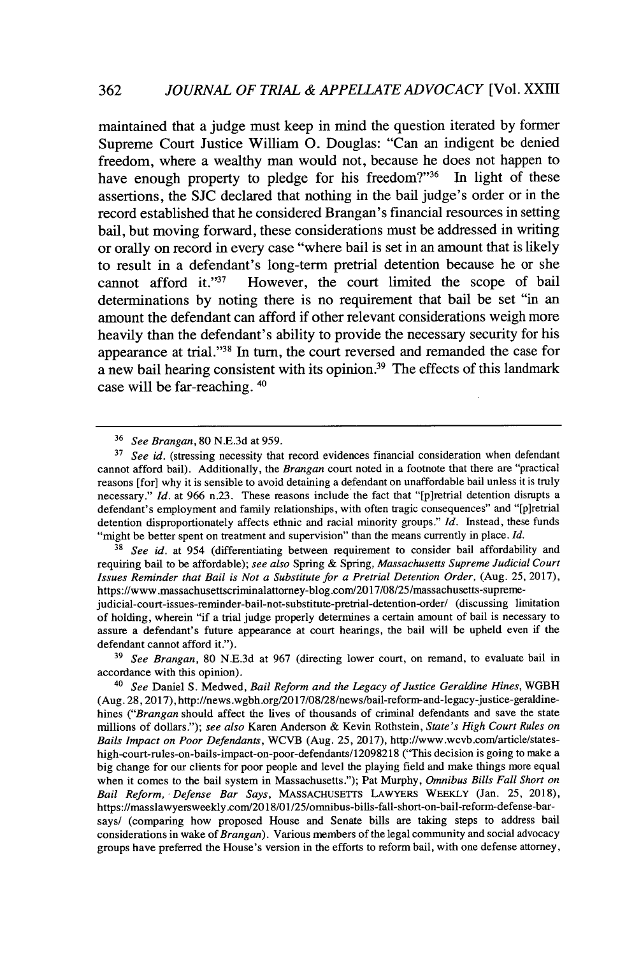maintained that a judge must keep in mind the question iterated **by** former Supreme Court Justice William **0.** Douglas: "Can an indigent be denied freedom, where a wealthy man would not, because he does not happen to have enough property to pledge for his freedom?"<sup>36</sup> In light of these assertions, the **SJC** declared that nothing in the bail judge's order or in the record established that he considered Brangan's financial resources in setting bail, but moving forward, these considerations must be addressed in writing or orally on record in every case "where bail is set in an amount that is likely to result in a defendant's long-term pretrial detention because he or she cannot afford it." $37$  However, the court limited the scope of bail determinations **by** noting there is no requirement that bail be set "in an amount the defendant can afford if other relevant considerations weigh more heavily than the defendant's ability to provide the necessary security for his appearance at trial."<sup>38</sup> In turn, the court reversed and remanded the case for a new bail hearing consistent with its opinion.<sup>39</sup> The effects of this landmark case will be far-reaching. <sup>40</sup>

**<sup>38</sup>***See id.* at 954 (differentiating between requirement to consider bail affordability and requiring bail to be affordable); *see also* Spring **&** *Spring, Massachusetts Supreme Judicial Court Issues Reminder that Bail is Not a Substitute for a Pretrial Detention Order,* (Aug. **25, 2017),** https://www.massachusettscriminalattorney-blog.com/2017/08/25/massachusetts-supreme-

judicial-court-issues-reminder-bail-not-substitute-pretrial-detention-order/ (discussing limitation of holding, wherein "if a trial judge properly determines a certain amount of bail is necessary to assure a defendant's future appearance at court hearings, the bail will be upheld even if the defendant cannot afford it.").

**<sup>39</sup>***See Brangan,* **80 N.E.3d** at **967** (directing lower court, on remand, to evaluate bail in accordance with this opinion).

<sup>40</sup>*See* Daniel **S.** Medwed, *Bail Reform and the Legacy of Justice Geraldine Hines,* WGBH (Aug.28, **2017),** http://news.wgbh.org/2017/08/28/news/bail-reform-and-legacy-justice-geraldinehines *("Brangan* should affect the lives of thousands of criminal defendants and save the state millions of dollars."); *see also* Karen Anderson *&* Kevin Rothstein, *State's High Court Rules on Bails Impact on Poor Defendants,* WCVB (Aug. **25, 2017),** http://www.wcvb.com/article/stateshigh-court-rules-on-bails-impact-on-poor-defendants/12098218 ("This decision is going to make a big change for our clients for poor people and level the playing field and make things more equal when it comes to the bail system in Massachusetts."); Pat Murphy, *Omnibus Bills Fall Short on Bail Reform, Defense Bar Says,* MASSACHUSETrS LAWYERS WEEKLY (Jan. **25, 2018),** https://masslawyersweekly.com/2018/01/25/omnibus-bills-fall-short-on-bail-reform-defense-barsays/ (comparing how proposed House and Senate bills are taking steps to address bail considerations in wake of *Brangan).* Various members of the legal community and social advocacy groups have preferred the House's version in the efforts to reform bail, with one defense attorney,

**<sup>36</sup>***See Brangan,* **80 N.E.3d** at *959.*

**<sup>37</sup>***See id.* (stressing necessity that record evidences financial consideration when defendant cannot afford bail). Additionally, the *Brangan* court noted in a footnote that there are "practical reasons *[for]* why it is sensible to avoid detaining a defendant on unaffordable bail unless it is truly necessary." *Id.* at **966** n.23. These reasons include the fact that "[p]retrial detention disrupts a defendant's employment and family relationships, with often tragic consequences" and "[p]retrial detention disproportionately affects ethnic and racial minority groups." *Id.* Instead, these funds "might be better spent on treatment and supervision" than the means currently in place. *Id.*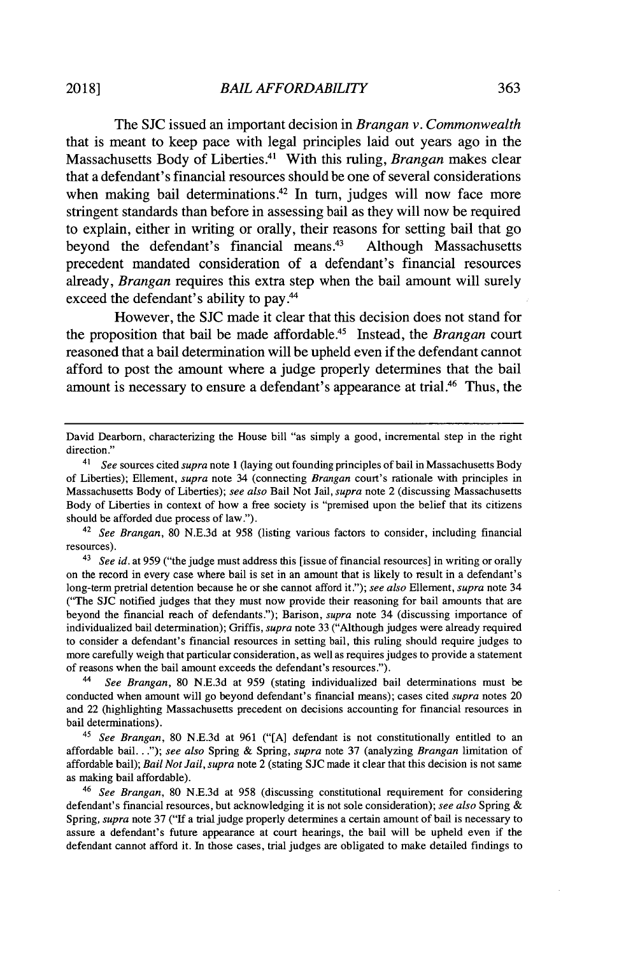The **SJC** issued an important decision in *Brangan v. Commonwealth* that is meant to keep pace with legal principles laid out years ago in the Massachusetts Body of Liberties.<sup>4</sup> ' With this ruling, *Brangan* makes clear that a defendant's financial resources should be one of several considerations when making bail determinations.<sup>42</sup> In turn, judges will now face more stringent standards than before in assessing bail as they will now be required to explain, either in writing or orally, their reasons for setting bail that go beyond the defendant's financial means. $43$  Although Massachusetts precedent mandated consideration of a defendant's financial resources already, *Brangan* requires this extra step when the bail amount will surely exceed the defendant's ability to pay.<sup>44</sup>

However, the **SJC** made it clear that this decision does not stand for the proposition that bail be made affordable.<sup>45</sup> Instead, the *Brangan* court reasoned that a bail determination will be upheld even if the defendant cannot afford to post the amount where a judge properly determines that the bail amount is necessary to ensure a defendant's appearance at trial.<sup>46</sup> Thus, the

<sup>42</sup>*See Brangan,* **80 N.E.3d** at **958** (listing various factors to consider, including financial resources).

<sup>43</sup>*See id.* at **959** ("the judge must address this [issue of financial resources] in writing or orally on the record in every case where bail is set in an amount that is likely to result in a defendant's long-term pretrial detention because he or she cannot afford it."); *see also Ellement, supra* note 34 ("The **SJC** notified judges that they must now provide their reasoning for bail amounts that are beyond the financial reach of defendants."); Barison, *supra* note 34 (discussing importance of individualized bail determination); Griffis, *supra* note **33** ("Although judges were already required to consider a defendant's financial resources in setting bail, this ruling should require judges to more carefully weigh that particular consideration, as well as requires judges to provide a statement of reasons when the bail amount exceeds the defendant's resources.").

4 *See Brangan,* **80 N.E.3d** at **959** (stating individualized bail determinations must be conducted when amount will go beyond defendant's financial means); cases cited *supra* notes 20 and 22 (highlighting Massachusetts precedent on decisions accounting for financial resources in bail determinations).

<sup>45</sup>*See Brangan,* **80 N.E.3d** at **961 ("[A]** defendant is not constitutionally entitled to an affordable **bail...");** *see also* Spring **&** Spring, *supra* note **37** (analyzing *Brangan* limitation of affordable bail); *Bail Not Jail, supra* note 2 (stating **SJC** made it clear that this decision is not same as making bail affordable).

<sup>46</sup>*See Brangan,* **80 N.E.3d** at **958** (discussing constitutional requirement for considering defendant's financial resources, but acknowledging it is not sole consideration); *see also* Spring Spring, *supra* note **37 ("If** a trial judge properly determines a certain amount of bail is necessary to assure a defendant's future appearance at court hearings, the bail will be upheld even if the defendant cannot afford it. In those cases, trial judges are obligated to make detailed findings to

David Dearborn, characterizing the House bill "as simply a good, incremental step in the right direction."

<sup>41</sup>*See* sources cited *supra* note 1 (laying out founding principles of bail in Massachusetts Body of Liberties); Ellement, *supra* note 34 (connecting *Brangan* court's rationale with principles in Massachusetts Body of Liberties); *see also* Bail Not Jail, *supra* note 2 (discussing Massachusetts Body of Liberties in context of how a free society is "premised upon the belief that its citizens should be afforded due process of law.").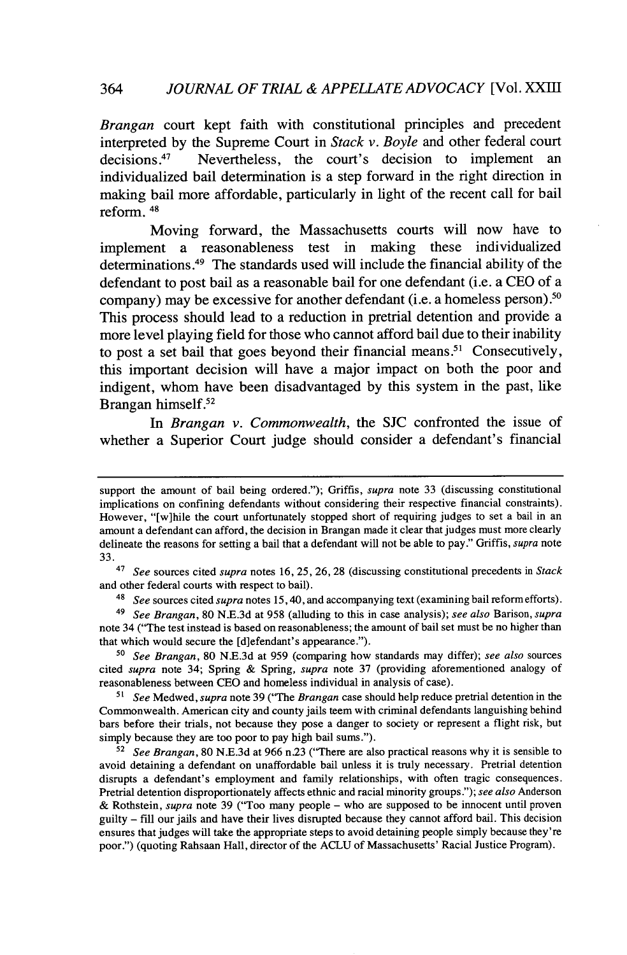*Brangan* court kept faith with constitutional principles and precedent interpreted by the Supreme Court in *Stack v. Boyle* and other federal court decisions.<sup>47</sup> Nevertheless, the court's decision to implement an Nevertheless, the court's decision to implement an individualized bail determination is a step forward in the right direction in making bail more affordable, particularly in light of the recent call for bail reform. <sup>48</sup>

Moving forward, the Massachusetts courts will now have to implement a reasonableness test in making these individualized determinations.<sup>49</sup> The standards used will include the financial ability of the defendant to post bail as a reasonable bail for one defendant (i.e. a **CEO** of a company) may be excessive for another defendant (i.e. a homeless person).<sup>50</sup> This process should lead to a reduction in pretrial detention and provide a more level playing field for those who cannot afford bail due to their inability to post a set bail that goes beyond their financial means."' Consecutively, this important decision will have a major impact on both the poor and indigent, whom have been disadvantaged **by** this system in the past, like Brangan himself.<sup>52</sup>

*In Brangan v. Commonwealth,* the **SJC** confronted the issue of whether a Superior Court judge should consider a defendant's financial

<sup>48</sup>*See* sources cited *supra* notes **15,** 40, and accompanying text (examining bail reform efforts).

<sup>49</sup>*See Brangan,* **80 N.E.3d** at **958** (alluding to this in case analysis); *see also Barison, supra* note 34 ("The test instead is based on reasonableness; the amount of bail set must be no higher than that which would secure the [d]efendant's appearance.").

*5o See Brangan,* **80 N.E.3d** at **959** (comparing how standards may differ); *see also* sources cited *supra* note 34; Spring **&** Spring, *supra* note **37** (providing aforementioned analogy of reasonableness between **CEO** and homeless individual in analysis of case).

*<sup>5</sup>See Medwed, supra* note **39** ("The *Brangan* case should help reduce pretrial detention in the Commonwealth. American city and county jails teem with criminal defendants languishing behind bars before their trials, not because they pose a danger to society or represent a flight risk, but simply because they are too poor to pay high bail sums.").

**<sup>52</sup>***See Brangan,* **80 N.E.3d** at **966** n23 ("There are also practical reasons why it is sensible to avoid detaining a defendant on unaffordable bail unless it is truly necessary. Pretrial detention disrupts a defendant's employment and family relationships, with often tragic consequences. Pretrial detention disproportionately affects ethnic and racial minority groups."); *see also* Anderson **&** Rothstein, *supra* note **39** ("Too many people **-** who are supposed to be innocent until proven guilty **- fill** our jails and have their lives disrupted because they cannot afford bail. This decision ensures that judges will take the appropriate steps to avoid detaining people simply because they're poor.") (quoting Rahsaan Hall, director of the **ACLU** of Massachusetts' Racial Justice Program).

support the amount of bail being ordered."); Griffis, *supra* note **33** (discussing constitutional implications on confining defendants without considering their respective financial constraints). However, "[w]hile the court unfortunately stopped short of requiring judges to set a bail in an amount a defendant can afford, the decision in Brangan made it clear that judges must more clearly delineate the reasons for setting a bail that a defendant will not be able to pay." Griffis, *supra* note **33.**

<sup>47</sup>*See* sources cited *supra* notes **16, 25, 26, 28** (discussing constitutional precedents in *Stack* and other federal courts with respect to bail).